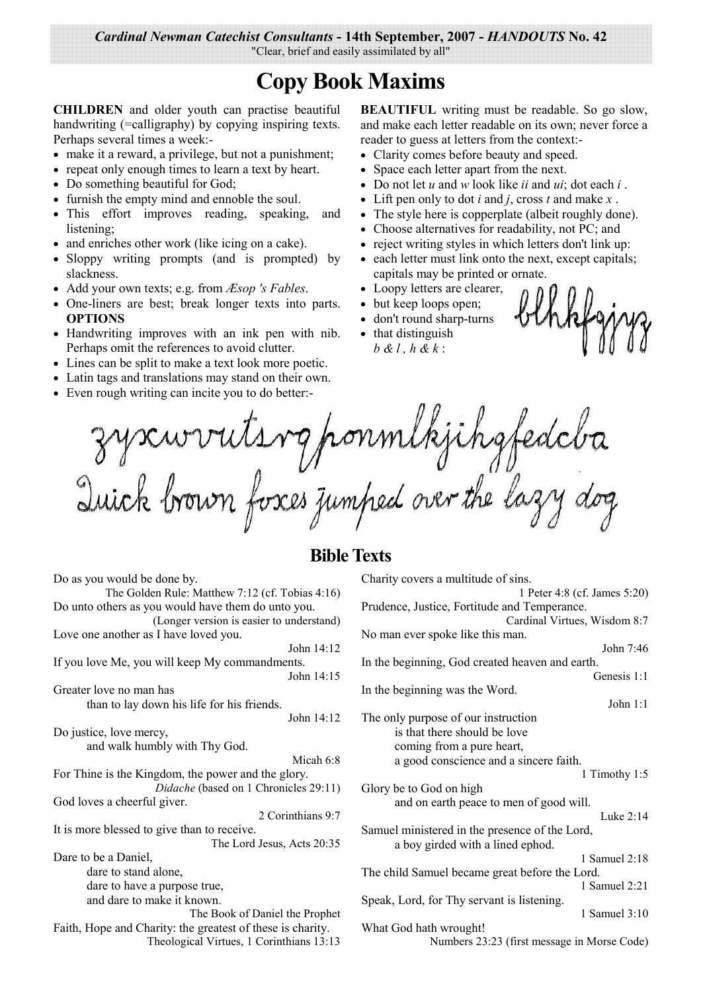Cardinal Newman Catechist Consultants - 14th September, 2007 - HANDOUTS No. 42

"Clear, brief and easily assimilated by all"

# **Copy Book Maxims**

#### CHILDREN and older youth can practise beautiful handwriting (=calligraphy) by copying inspiring texts. Perhaps several times a week:-

- make it a reward, a privilege, but not a punishment;
- repeat only enough times to learn a text by heart.
- $\bullet$ Do something beautiful for God;
- furnish the empty mind and ennoble the soul.  $\bullet$
- This effort improves reading, speaking, and  $\bullet$ listening:
- and enriches other work (like icing on a cake).
- Sloppy writing prompts (and is prompted) by  $\bullet$ slackness.
- Add your own texts; e.g. from  $\mathcal{E}$ sop 's Fables.
- One-liners are best; break longer texts into parts. **OPTIONS**
- Handwriting improves with an ink pen with nib. Perhaps omit the references to avoid clutter.
- Lines can be split to make a text look more poetic.
- Latin tags and translations may stand on their own.
- Even rough writing can incite you to do better:-

Do as you would be done by

**BEAUTIFUL** writing must be readable. So go slow, and make each letter readable on its own; never force a reader to guess at letters from the context:-

- Clarity comes before beauty and speed.
- Space each letter apart from the next.
- Do not let u and w look like ii and ui; dot each i.
- Lift pen only to dot *i* and *j*, cross *t* and make  $x$ .
- The style here is copperplate (albeit roughly done).  $\bullet$
- Choose alternatives for readability, not PC; and
- reject writing styles in which letters don't link up:
- each letter must link onto the next, except capitals;  $\bullet$ capitals may be printed or ornate.
- Loopy letters are clearer,
- but keep loops open;
- don't round sharp-turns
- that distinguish  $b & l$ ,  $h & k$ :

zyscurruts rg ponmlkjihgfedcba<br>Quick brown fosces jumped over the lazy dog

## **Bible Texts**

| $D\sigma$ as you would be done by.                         | Charley covers a manne   |
|------------------------------------------------------------|--------------------------|
| The Golden Rule: Matthew 7:12 (cf. Tobias 4:16)            |                          |
| Do unto others as you would have them do unto you.         | Prudence, Justice, Fort  |
| (Longer version is easier to understand)                   |                          |
| Love one another as I have loved you.                      | No man ever spoke like   |
| John 14:12                                                 |                          |
| If you love Me, you will keep My commandments.             | In the beginning, God    |
| John 14:15                                                 |                          |
| Greater love no man has                                    | In the beginning was the |
|                                                            |                          |
| than to lay down his life for his friends.                 |                          |
| John 14:12                                                 | The only purpose of ou   |
| Do justice, love mercy,                                    | is that there show       |
| and walk humbly with Thy God.                              | coming from a p          |
| Micah 6:8                                                  | a good conscien          |
| For Thine is the Kingdom, the power and the glory.         |                          |
| Didache (based on 1 Chronicles 29:11)                      | Glory be to God on high  |
| God loves a cheerful giver.                                | and on earth pea         |
| 2 Corinthians 9:7                                          |                          |
| It is more blessed to give than to receive.                | Samuel ministered in tl  |
| The Lord Jesus, Acts 20:35                                 | a boy girded wit         |
| Dare to be a Daniel,                                       |                          |
| dare to stand alone,                                       | The child Samuel beca    |
|                                                            |                          |
| dare to have a purpose true,                               |                          |
| and dare to make it known.                                 | Speak, Lord, for Thy so  |
| The Book of Daniel the Prophet                             |                          |
| Faith, Hope and Charity: the greatest of these is charity. | What God hath wrough     |
| Theological Virtues, 1 Corinthians 13:13                   | <b>Numbers</b>           |
|                                                            |                          |

| Charity covers a multitude of sins.             |                              |
|-------------------------------------------------|------------------------------|
|                                                 | 1 Peter 4:8 (cf. James 5:20) |
| Prudence, Justice, Fortitude and Temperance.    |                              |
|                                                 | Cardinal Virtues, Wisdom 8:7 |
| No man ever spoke like this man.                |                              |
|                                                 | John 7:46                    |
| In the beginning, God created heaven and earth. |                              |
|                                                 | Genesis 1:1                  |
| In the beginning was the Word.                  |                              |
|                                                 | John $1:1$                   |
| The only purpose of our instruction             |                              |
| is that there should be love                    |                              |
| coming from a pure heart,                       |                              |
| a good conscience and a sincere faith.          |                              |
|                                                 | 1 Timothy 1:5                |
| Glory be to God on high                         |                              |
| and on earth peace to men of good will.         |                              |
|                                                 | Luke $2:14$                  |
| Samuel ministered in the presence of the Lord,  |                              |
| a boy girded with a lined ephod.                |                              |
|                                                 | 1 Samuel 2:18                |
| The child Samuel became great before the Lord.  |                              |
|                                                 | 1 Samuel 2:21                |
|                                                 |                              |
| Speak, Lord, for Thy servant is listening.      |                              |
|                                                 | 1 Samuel $3:10$              |
| What God hath wrought!                          |                              |

23:23 (first message in Morse Code)